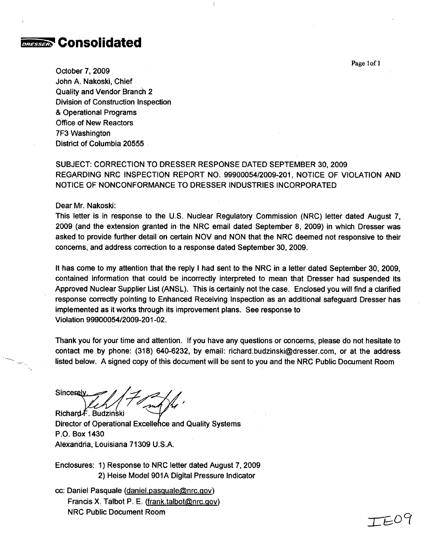

October 7, 2009 John A. Nakoski, Chief Quality and Vendor Branch 2 Division of Construction Inspection & Operational Programs Office of New Reactors 7F3 Washington District of Columbia 20555

# SUBJECT: CORRECTION TO DRESSER RESPONSE DATED SEPTEMBER 30, 2009 REGARDING NRC INSPECTION REPORT NO. 99900054/2009-201, NOTICE OF VIOLATION AND NOTICE OF NONCONFORMANCE TO DRESSER INDUSTRIES INCORPORATED

Dear Mr. Nakoski:

This letter is in response to the U.S. Nuclear Regulatory Commission (NRC) letter dated August 7, 2009 (and the extension granted in the NRC email dated September 8, 2009) in which Dresser was asked to provide further detail on certain NOV and NON that the NRC deemed not responsive to their concerns, and address correction to a response dated September 30, 2009.

It has come to my attention that the reply I had sent to the NRC in a letter dated September 30, 2009, contained information that could be incorrectly interpreted to mean that Dresser had suspended its Approved Nuclear Supplier List (ANSL). This is certainly not the case. Enclosed you will find a clarified response correctly pointing to Enhanced Receiving Inspection as an additional safeguard Dresser has implemented as it works through its improvement plans. See response to Violation 99900054/2009-201-02.

Thank you for your time and attention. If you have any questions or concerns, please do not hesitate to contact me by phone: (318) 640-6232, by email: richard.budzinski@dresser.com, or at the address listed below. A signed copy of this document will be sent to you and the NRC Public Document Room

**Sincerely** Richard F. Budzinski

Director of Operational Excellence and Quality Systems P.O. Box 1430 Alexandria, Louisiana 71309 U.S.A.

Enclosures: 1) Response to NRC letter dated August 7, 2009 2) Heise Model 901A Digital Pressure Indicator

cc: Daniel Pasquale (daniel.pasquale@nrc.gov) Francis X. Talbot P. E. (frank.talbot@nrc.gov) NRC Public Document Room

Page lof 1

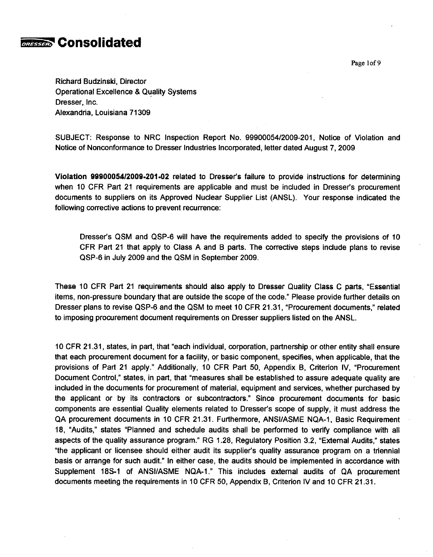

Page I of **9**

Richard Budzinski, Director Operational Excellence & Quality Systems Dresser, Inc. Alexandria, Louisiana 71309

SUBJECT: Response to NRC Inspection Report No. 99900054/2009-201, Notice of Violation and Notice of Nonconformance to Dresser Industries Incorporated, letter dated August 7, 2009

Violation 9990005412009.201.02 related to Dresser's failure to provide instructions for determining when 10 CFR Part 21 requirements are applicable and must be included in Dresser's procurement documents to suppliers on its Approved Nuclear Supplier List (ANSL). Your response indicated the following corrective actions to prevent recurrence:

Dresser's QSM and QSP-6 will have the requirements added to specify the provisions of 10 CFR Part 21 that apply to Class A and B parts. The corrective steps include plans to revise QSP-6 in July 2009 and the QSM in September 2009.

These 10 CFR Part 21 requirements should also apply to Dresser Quality Class C parts, "Essential items, non-pressure boundary that are outside the scope of the code." Please provide further details on Dresser plans to revise QSP-6 and the QSM to meet 10 CFR 21.31, "Procurement documents," related to imposing procurement document requirements on Dresser suppliers listed on the ANSL.

10 CFR 21.31, states, in part, that "each individual, corporation, partnership or other entity shall ensure that each procurement document for a facility, or basic component, specifies, when applicable, that the provisions of Part 21 apply." Additionally, 10 CFR Part 50, Appendix B, Criterion IV, "Procurement Document Control," states, in part, that "measures shall be established to assure adequate quality are included in the documents for procurement of material, equipment and services, whether purchased by the applicant or by its contractors or subcontractors." Since procurement documents for basic components are essential Quality elements related to Dresser's scope of supply, it must address the QA procurement documents in 10 CFR 21.31. Furthermore, ANSI/ASME NQA-1, Basic Requirement 18, "Audits," states "Planned and schedule audits shall be performed to verify compliance with all aspects of the quality assurance program." RG 1.28, Regulatory Position 3.2, "External Audits," states "the applicant or licensee should either audit its supplier's quality assurance program on a triennial basis or arrange for such audit." In either case, the audits should be implemented in accordance with Supplement **18S-1** of ANSI/ASME NQA.1." This includes external audits of QA procurement documents meeting the requirements in 10 CFR 50, Appendix B, Criterion IV and 10 CFR 21.31.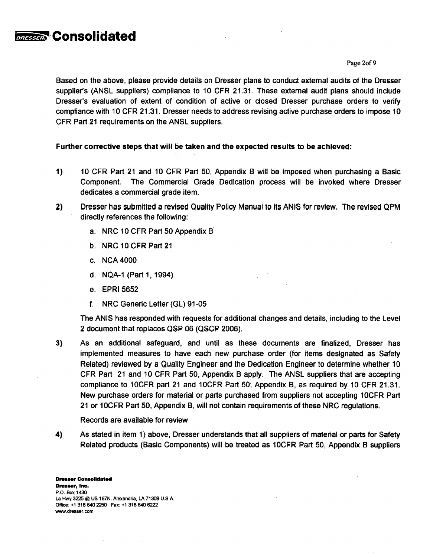Page 2of 9

Based on the above, please provide details on Dresser plans to conduct external audits of the Dresser supplier's (ANSL suppliers) compliance to 10 CFR 21.31. These external audit plans should include Dresser's evaluation of extent of condition of active or closed Dresser purchase orders to verify compliance with 10 CFR 21.31. Dresser needs to address revising active purchase orders to impose 10 CFR Part 21 requirements on the ANSL suppliers.

# Further corrective steps that will be taken and the expected results to be achieved:

- *1)* 10 CFR Part 21 and 10 CFR Part 50, Appendix B will be imposed when purchasing a Basic Component. The Commercial Grade Dedication process will be invoked where Dresser dedicates a commercial grade item.
- 2) Dresser has submitted a revised Quality Policy Manual to its ANIS for review. The revised QPM directly references the following:
	- a. NRC 10 CFR Part 50 Appendix B
	- b. NRC **10** CFR Part 21
	- c. NCA 4000

**Consolidated** 

- d. NQA-1 (Part 1, 1994)
- e. EPRI 5652
- f. NRC Generic Letter (GL) 91-05

The ANIS has responded with requests for additional changes and details, including to the Level 2 document that replaces QSP 06 (QSCP 2006).

3) As an additional safeguard, and until as these documents are finalized, Dresser has implemented measures to have each new purchase order (for items designated as Safety Related) reviewed by a Quality Engineer and the Dedication Engineer to determine whether 10 CFR Part 21 and 10 CFR Part 50, Appendix B apply. The ANSL suppliers that are accepting compliance to IOCFR part 21 and 10CFR Part 50, Appendix B, as required by 10 CFR 21.31. New purchase orders for material or parts purchased from suppliers not accepting 10CFR Part 21 or 1OCFR Part 50, Appendix B, will not contain requirements of these NRC regulations.

Records are available for review

4) As stated in item 1) above, Dresser understands that all suppliers of material or parts for Safety Related products (Basic Components) will be treated as 10CFR Part 50, Appendix B suppliers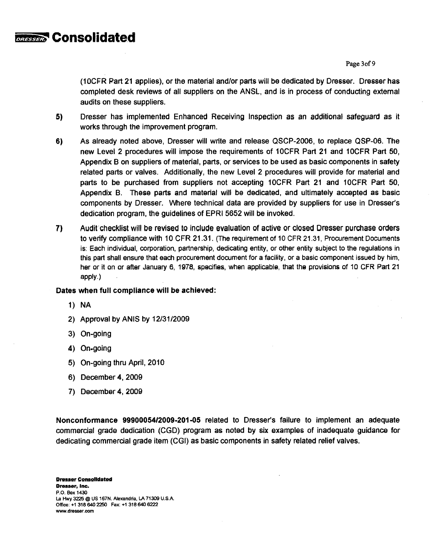

Page 3of 9

(1OCFR Part 21 applies), or the material and/or parts will be dedicated by Dresser. Dresser has completed desk reviews of all suppliers on the ANSL, and is in process of conducting external audits on these suppliers.

- 5) Dresser has implemented Enhanced Receiving Inspection as an additional safeguard as it works through the improvement program.
- 6) As already noted above, Dresser will write and release QSCP-2006, to replace QSP-06. The new Level 2 procedures will impose the requirements of 10CFR Part 21 and 10CFR Part 50, Appendix B on suppliers of material, parts, or services to be used as basic components in safety related parts or valves. Additionally, the new Level 2 procedures will provide for material and parts to be purchased from suppliers not accepting 10CFR Part 21 and 10CFR Part 50, Appendix B. These parts and material will be dedicated, and ultimately accepted as basic components by Dresser. Where technical data are provided by suppliers for use in Dresser's dedication program, the guidelines of EPRI 5652 will be invoked.
- 7) Audit checklist will be revised to include evaluation of active or closed Dresser purchase orders to verify compliance with 10 CFR 21.31. (The requirement of 10 CFR 21.31, Procurement Documents is: Each individual, corporation, partnership, dedicating entity, or other entity subject to the regulations in this part shall ensure that each procurement document for a facility, or a basic component issued by him, her or it on or after January 6, 1978, specifies, when applicable, that the provisions of 10 CFR Part 21 apply.)

## Dates when full compliance will be achieved:

- 1) NA
- 2) Approval by ANIS by 12/31/2009
- 3) On-going
- 4) On-going
- 5) On-going thru April, 2010
- 6) December 4, 2009
- 7) December 4, 2009

Nonconformance 99900054/2009-201-05 related to Dresser's failure to implement an adequate commercial grade dedication (CGD) program as noted by six examples of inadequate guidance for dedicating commercial grade item (CGI) as basic components in safety related relief valves.

Dresser Consolidated Dresser, Inc. P.O. Box 1430 La Hwy 3225 @ US 167N. Alexandria, LA 71309 U.S.A Office: +13186402250 Fax: +13186406222 www.dresser.com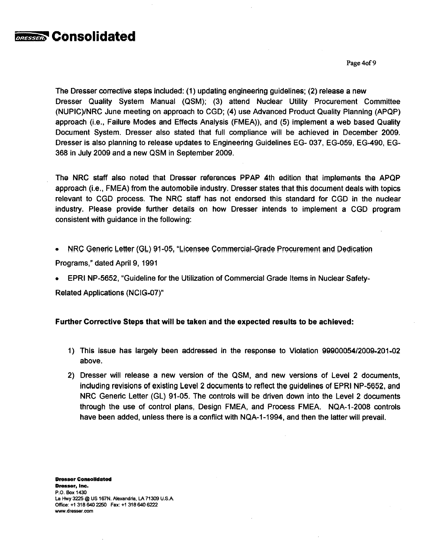

Page 4of 9

The Dresser corrective steps included: (1) updating engineering guidelines; (2) release a new Dresser Quality System Manual (QSM); (3) attend Nuclear Utility Procurement Committee (NUPIC)/NRC June meeting on approach to CGD; (4) use Advanced Product Quality Planning (APQP) approach (i.e., Failure Modes and Effects Analysis (FMEA)), and (5) implement a web based Quality Document System. Dresser also stated that full compliance will be achieved in December 2009. Dresser is also planning to release updates to Engineering Guidelines EG- 037, EG-059, EG-490, EG-368 in July 2009 and a new QSM in September 2009.

The NRC staff also noted that Dresser references PPAP 4th edition that implements the APQP approach (i.e., FMEA) from the automobile industry. Dresser states that this document deals with topics relevant to CGD process. The NRC staff has not endorsed this standard for CGD in the nuclear industry. Please provide further details on how Dresser intends to implement a CGD program consistent with guidance in the following:

\* NRC Generic Letter (GL) 91-05, "Licensee Commercial-Grade Procurement and Dedication

Programs," dated April 9, 1991

\* EPRI NP-5652, "Guideline for the Utilization of Commercial Grade Items in Nuclear Safety-

Related Applications (NCIG-07)"

### Further Corrective Steps that will be taken and the expected results to be achieved:

- 1) This issue has largely been addressed in the response to Violation 99900054/2009-201-02 above.
- 2) Dresser will release a new version of the QSM, and new versions of Level 2 documents, including revisions of existing Level 2 documents to reflect the guidelines of EPRI NP-5652, and NRC Generic Letter (GL) 91-05. The controls will be driven down into the Level 2 documents through the use of control plans, Design FMEA, and Process FMEA. NQA-1-2008 controls have been added, unless there is a conflict with NQA-1-1994, and then the latter will prevail.

Dresser Consolidated Dresser, **Inc.** P.O. Box 1430 La Hwy 3225 @ US 167N. Alexandria, **LA** 71309 **U.S.A.** Office: +13186402250 Fax: +13186406222 www.dresser~com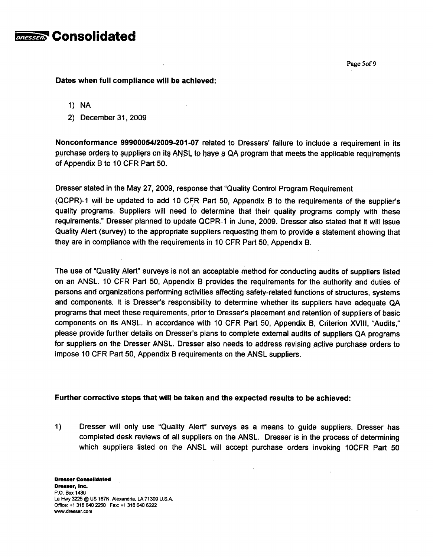

Page 5of 9

Dates when full compliance will be achieved:

- **1)** NA
- 2) December 31, 2009

Nonconformance 99900054/2009-201-07 related to Dressers' failure to include a requirement in its purchase orders to suppliers on its ANSL to have a QA program that meets the applicable requirements of Appendix B to 10 CFR Part 50.

Dresser stated in the May 27, 2009, response that "Quality Control Program Requirement

(QCPR)-1 will be updated to add 10 CFR Part 50, Appendix B to the requirements of the supplier's quality programs. Suppliers will need to determine that their quality programs comply with these requirements." Dresser planned to update QCPR-1 in June, 2009. Dresser also stated that it will issue Quality Alert (survey) to the appropriate suppliers requesting them to provide a statement showing that they are in compliance with the requirements in 10 CFR Part 50, Appendix B.

The use of "Quality Alert" surveys is not an acceptable method for conducting audits of suppliers listed on an ANSL. 10 CFR Part 50, Appendix B provides the requirements for the authority and duties of persons and organizations performing activities affecting safety-related functions of structures, systems and components. It is Dresser's responsibility to determine whether its suppliers have adequate QA programs that meet these requirements, prior to Dresser's placement and retention of suppliers of basic components on its ANSL. In accordance with 10 CFR Part 50, Appendix B, Criterion XVIII, "Audits," please provide further details on Dresser's plans to complete external audits of suppliers QA programs for suppliers on the Dresser ANSL. Dresser also needs to address revising active purchase orders to impose 10 CFR Part 50, Appendix B requirements on the ANSL suppliers.

### Further corrective steps that will be taken and the expected results to be achieved:

1) Dresser will only use "Quality Alert" surveys as a means to guide suppliers. Dresser has completed desk reviews of all suppliers on the ANSL. Dresser is in the process of determining which suppliers listed on the ANSL will accept purchase orders invoking 10CFR Part 50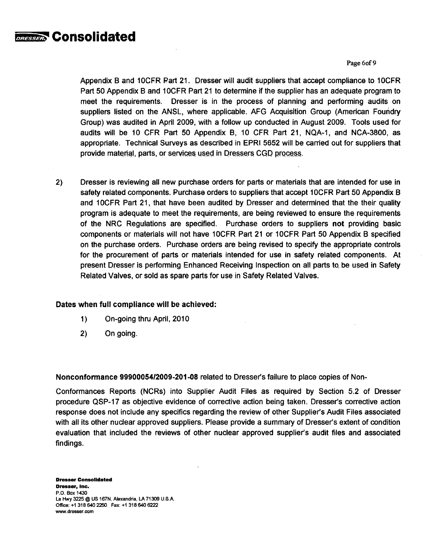

Page 6of 9

Appendix B and 1OCFR Part 21. Dresser will audit suppliers that accept compliance to 1OCFR Part 50 Appendix B and 1OCFR Part 21 to determine if the supplier has an adequate program to meet the requirements. Dresser is in the process of planning and performing audits on suppliers listed on the ANSL, where applicable. AFG Acquisition Group (American Foundry Group) was audited in April 2009, with a follow up conducted in August 2009. Tools used for audits will be 10 CFR Part 50 Appendix B, 10 CFR Part 21, NQA-1, and NCA-3800, as appropriate. Technical Surveys as described in EPRI 5652 will be carried out for suppliers that provide material, parts, or services used in Dressers **CGD** process.

2) Dresser is reviewing all new purchase orders for parts or materials that are intended for use in safety related components. Purchase orders to suppliers that accept 10CFR Part 50 Appendix B and 10CFR Part 21, that have been audited by Dresser and determined that the their quality program is adequate to meet the requirements, are being reviewed to ensure the requirements of the NRC Regulations are specified. Purchase orders to suppliers not providing basic components or materials will not have 10CFR Part 21 or 10CFR Part 50 Appendix B specified on the purchase orders. Purchase orders are being revised to specify the appropriate controls for the procurement of parts or materials intended for use in safety related components. At present Dresser is performing Enhanced Receiving Inspection on all parts to, be used in Safety Related Valves, or sold as spare parts for use in Safety Related Valves.

# Dates when full compliance will be achieved:

- 1) On-going thru April, 2010
- 2) On going.

Nonconformance 9990005412009-201-08 related to Dresser's failure to place copies of Non-

Conformances Reports (NCRs) into Supplier Audit Files as required by Section 5.2 of Dresser procedure QSP-17 as objective evidence of corrective action being taken. Dresser's corrective action response does not include any specifics regarding the review of other Supplier's Audit Files associated with all its other nuclear approved suppliers. Please provide a summary of Dresser's extent of condition evaluation that included the reviews of other nuclear approved supplier's audit files and associated findings.

Dresser Consolidated Dresser, Inc. P.O. Box 1430 La Hwy 3225 @ US 167N. Alexandria, LA 71309 U.S.A. Office: +1 318 640 2250 Fax: +1 318 640 6222 www.dresser.com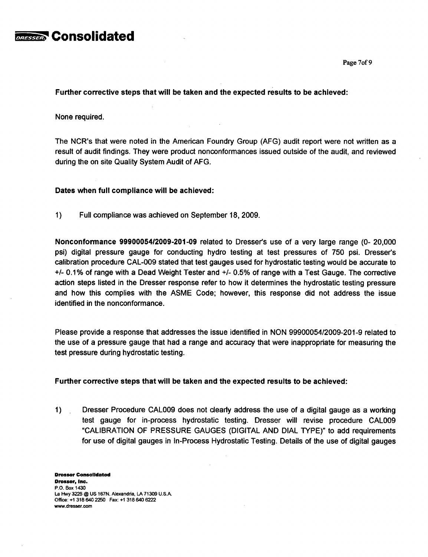

Page 7of 9

Further corrective steps that will be taken and the expected results to be achieved:

None required.

The NCR's that were noted in the American Foundry Group (AFG) audit report were not written as a result of audit findings. They were product nonconformances issued outside of the audit, and reviewed during the on site Quality System Audit of AFG.

Dates when full compliance will be achieved:

1) Full compliance was achieved on September 18, 2009.

Nonconformance 9990005412009-201-09 related to Dresser's use of a very large range (0- 20,000 psi) digital pressure gauge for conducting hydro testing at test pressures of 750 psi. Dresser's calibration procedure CAL-009 stated that test gauges used for hydrostatic testing would be accurate to **+/-** 0.1% of range with a Dead Weight Tester and **+/-** 0.5% of range with a Test Gauge. The corrective action steps listed in the Dresser response refer to how it determines the hydrostatic testing pressure and how this complies with the ASME Code; however, this response did not address the issue identified in the nonconformance.

Please provide a response that addresses the issue identified in NON 99900054/2009-201-9 related to the use of a pressure gauge that had a range and accuracy that were inappropriate for measuring the test pressure during hydrostatic testing.

## Further corrective steps that will be taken and the expected results to be achieved:

1) Dresser Procedure CAL009 does not clearly address the use of a digital gauge as a working test gauge for in-process hydrostatic testing. Dresser will revise procedure **CAL009** "CALIBRATION OF PRESSURE GAUGES (DIGITAL AND DIAL TYPE)" to add requirements for use of digital gauges in In-Process Hydrostatic Testing. Details of the use of digital gauges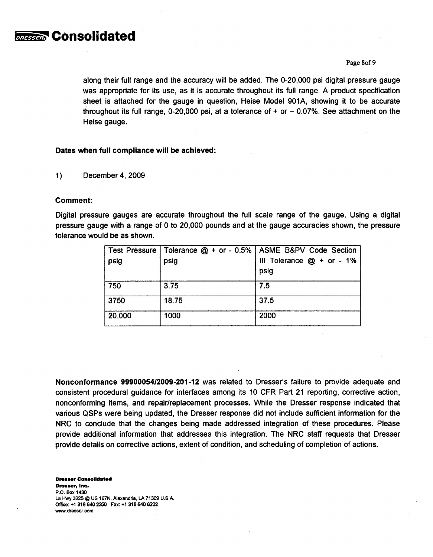

#### Page 8of 9

along their full range and the accuracy will be added. The 0-20,000 psi digital pressure gauge was appropriate for its use, as it is accurate throughout its full range. A product specification sheet is attached for the gauge in question, Heise Model 901A, showing it to be accurate throughout its full range, 0-20,000 psi, at a tolerance of  $+$  or  $-$  0.07%. See attachment on the Heise gauge.

#### Dates when full compliance will be achieved:

1) December 4, 2009

#### Comment:

Digital pressure gauges are accurate throughout the full scale range of the gauge. Using a digital pressure gauge with a range of 0 to 20,000 pounds and at the gauge accuracies shown, the pressure tolerance would be as shown.

| Test Pressure |       | Tolerance @ + or - 0.5%   ASME B&PV Code Section |
|---------------|-------|--------------------------------------------------|
| psig          | psig  | III Tolerance $@ + or - 1\%$<br>psig             |
| 750           | 3.75  | 7.5                                              |
| 3750          | 18.75 | 37.5                                             |
| 20,000        | 1000  | 2000                                             |

Nonconformance 9990005412009-201-12 was related to Dresser's failure to provide adequate and consistent procedural guidance for interfaces among its 10 CFR Part 21 reporting, corrective action, nonconforming items, and repair/replacement processes. While the Dresser response indicated that various QSPs were being updated, the Dresser response did not include sufficient information for the NRC to conclude that the changes being made addressed integration of these procedures. Please provide additional information that addresses this integration. The NRC staff requests that Dresser provide details on corrective actions, extent of condition, and scheduling of completion of actions.

Dresser Consolidated Dresser, Inc. P.O. Box 1430 La Hwy 3225 **@** US 167N. Alexandria, LA 71309 **U.SA.** Offioe: **+1** 3186402250 Fax: +1 3186406222 www.dresser.com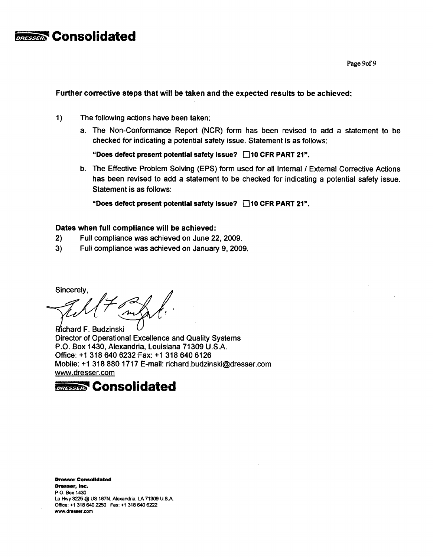

Page 9of 9

#### Further corrective steps that will be taken and the expected results to be achieved:

- 1) The following actions have been taken:
	- a. The Non-Conformance Report (NCR) form has been revised to add a statement to be checked for indicating a potential safety issue. Statement is as follows:

"Does defect present potential safety issue? n10 CFR PART 21".

b. The Effective Problem Solving (EPS) form used for all Internal **/** External Corrective Actions has been revised to add a statement to be checked for indicating a potential safety issue. Statement is as follows:

"Does defect present potential safety issue? **E]10** CFR PART 21".

## Dates when full compliance will be achieved:

- 2) Full compliance was achieved on June 22, 2009.
- 3) Full compliance was achieved on January 9, 2009.

Sincerely,

Richard F. Budzinski Director of Operational Excellence and Quality Systems P.O. Box 1430, Alexandria, Louisiana 71309 U.S.A. Office: +1 318 640 6232 Fax: +1 318 640 6126 Mobile: +1 318 880 1717 E-mail: richard.budzinski@dresser.com www.dresser.com



Dresser Consolidated Dresser, **Inc.** P.O. Box 1430 La Hwy 3225 @ US 167N. Alexandria, LA 71309 **U.S.A.** Office: +13186402250 Fax: +13186406222 www.dresser.com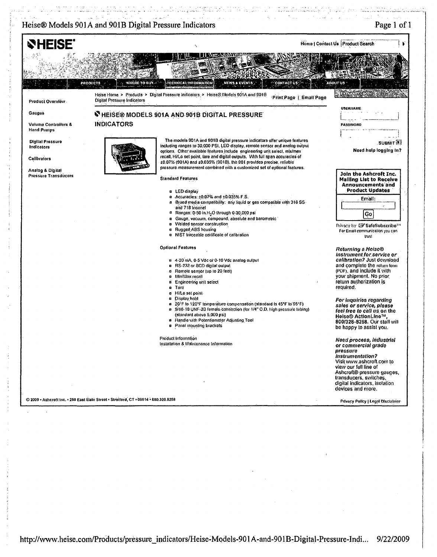# Heise® Models 901A and 901B Digital Pressure Indicators

n an I